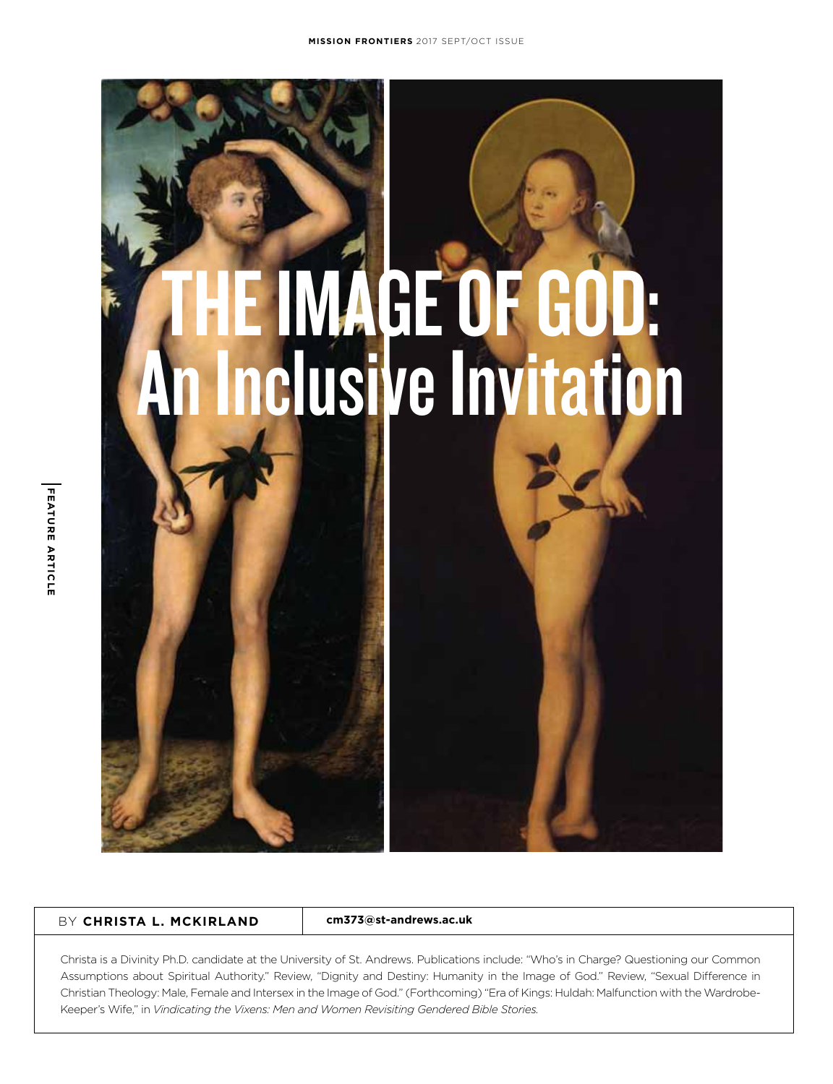

**cm373@st-andrews.ac.uk**

Christa is a Divinity Ph.D. candidate at the University of St. Andrews. Publications include: "Who's in Charge? Questioning our Common Assumptions about Spiritual Authority." Review, "Dignity and Destiny: Humanity in the Image of God." Review, "Sexual Difference in Christian Theology: Male, Female and Intersex in the Image of God." (Forthcoming) "Era of Kings: Huldah: Malfunction with the Wardrobe-Keeper's Wife," in *Vindicating the Vixens: Men and Women Revisiting Gendered Bible Stories.*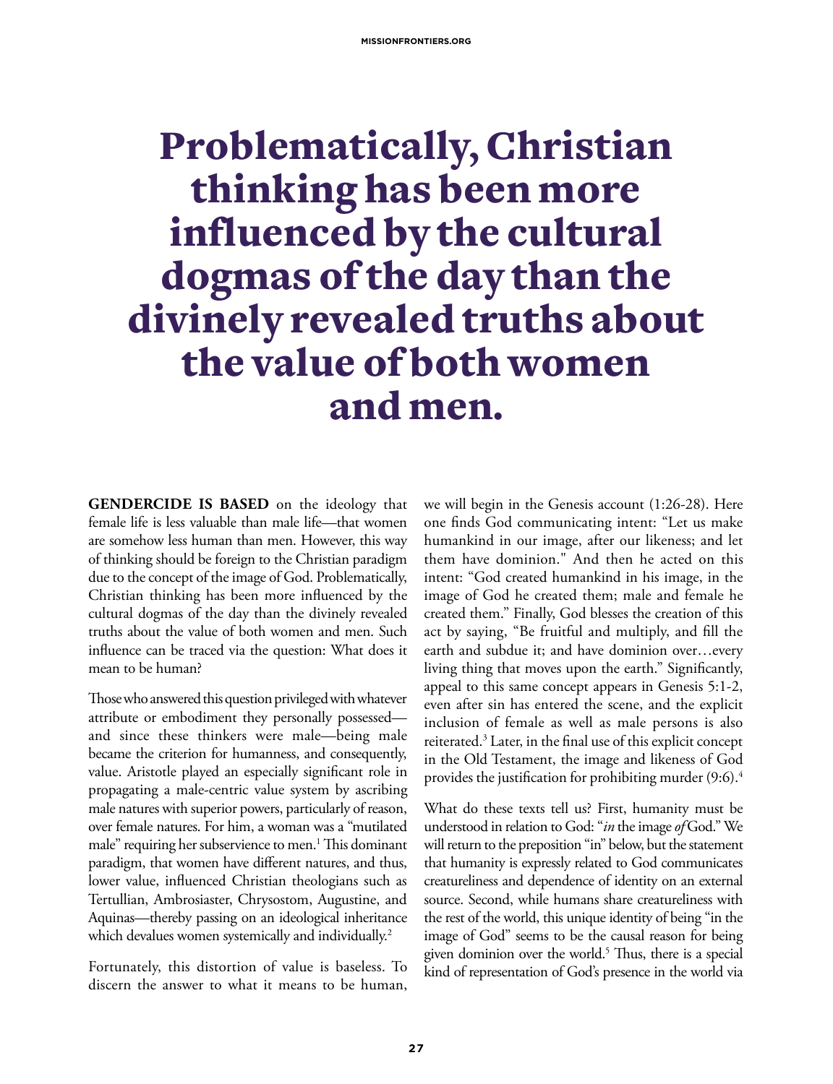## Problematically, Christian thinking has been more influenced by the cultural dogmas of the day than the divinely revealed truths about the value of both women and men.

**GENDERCIDE IS BASED** on the ideology that female life is less valuable than male life—that women are somehow less human than men. However, this way of thinking should be foreign to the Christian paradigm due to the concept of the image of God. Problematically, Christian thinking has been more influenced by the cultural dogmas of the day than the divinely revealed truths about the value of both women and men. Such influence can be traced via the question: What does it mean to be human?

Those who answered this question privileged with whatever attribute or embodiment they personally possessed and since these thinkers were male—being male became the criterion for humanness, and consequently, value. Aristotle played an especially significant role in propagating a male-centric value system by ascribing male natures with superior powers, particularly of reason, over female natures. For him, a woman was a "mutilated male" requiring her subservience to men.1 This dominant paradigm, that women have different natures, and thus, lower value, influenced Christian theologians such as Tertullian, Ambrosiaster, Chrysostom, Augustine, and Aquinas—thereby passing on an ideological inheritance which devalues women systemically and individually.<sup>2</sup>

Fortunately, this distortion of value is baseless. To discern the answer to what it means to be human, we will begin in the Genesis account (1:26-28). Here one finds God communicating intent: "Let us make humankind in our image, after our likeness; and let them have dominion." And then he acted on this intent: "God created humankind in his image, in the image of God he created them; male and female he created them." Finally, God blesses the creation of this act by saying, "Be fruitful and multiply, and fill the earth and subdue it; and have dominion over…every living thing that moves upon the earth." Significantly, appeal to this same concept appears in Genesis 5:1-2, even after sin has entered the scene, and the explicit inclusion of female as well as male persons is also reiterated.3 Later, in the final use of this explicit concept in the Old Testament, the image and likeness of God provides the justification for prohibiting murder (9:6). $^4$ 

What do these texts tell us? First, humanity must be understood in relation to God: "*in* the image *of* God." We will return to the preposition "in" below, but the statement that humanity is expressly related to God communicates creatureliness and dependence of identity on an external source. Second, while humans share creatureliness with the rest of the world, this unique identity of being "in the image of God" seems to be the causal reason for being given dominion over the world.<sup>5</sup> Thus, there is a special kind of representation of God's presence in the world via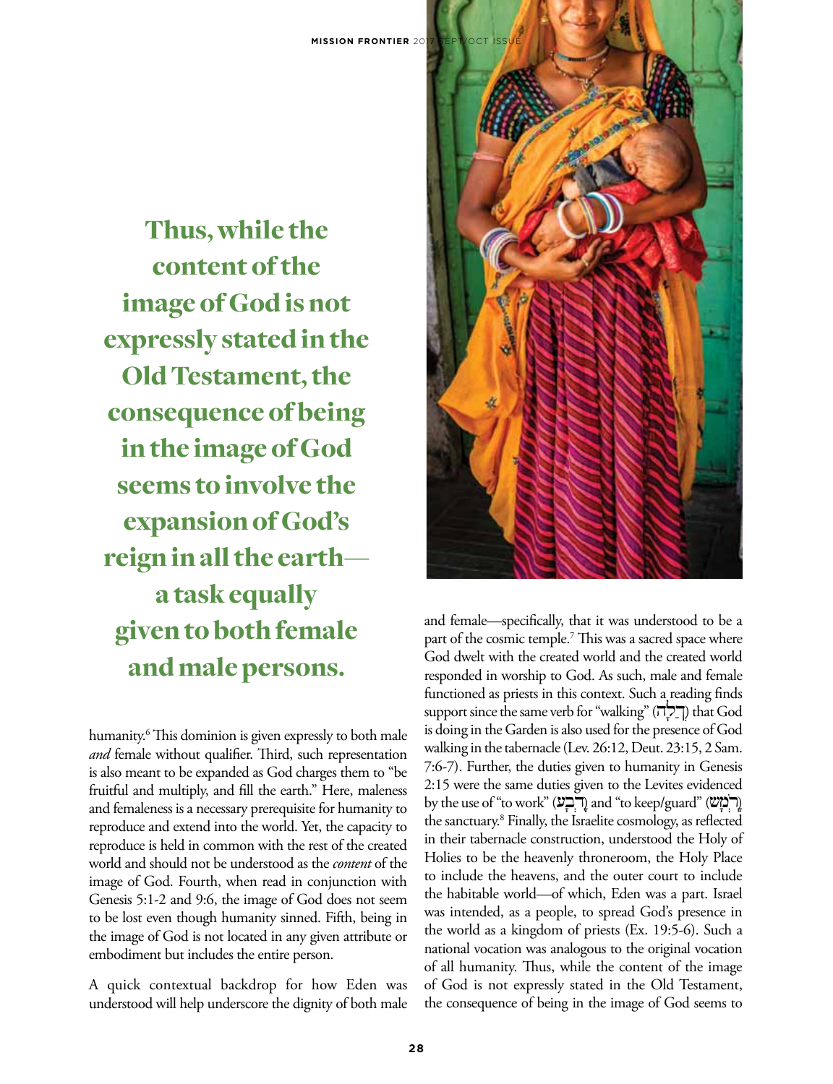Thus, while the content of the image of God is not expressly stated in the Old Testament, the consequence of being in the image of God seems to involve the expansion of God's reign in all the earth a task equally given to both female and male persons.

humanity.6 This dominion is given expressly to both male *and* female without qualifier. Third, such representation is also meant to be expanded as God charges them to "be fruitful and multiply, and fill the earth." Here, maleness and femaleness is a necessary prerequisite for humanity to reproduce and extend into the world. Yet, the capacity to reproduce is held in common with the rest of the created world and should not be understood as the *content* of the image of God. Fourth, when read in conjunction with Genesis 5:1-2 and 9:6, the image of God does not seem to be lost even though humanity sinned. Fifth, being in the image of God is not located in any given attribute or embodiment but includes the entire person.

A quick contextual backdrop for how Eden was understood will help underscore the dignity of both male



and female—specifically, that it was understood to be a part of the cosmic temple.<sup>7</sup> This was a sacred space where God dwelt with the created world and the created world responded in worship to God. As such, male and female functioned as priests in this context. Such a reading finds support since the same verb for "walking" (הַלָּה) that God is doing in the Garden is also used for the presence of God walking in the tabernacle (Lev. 26:12, Deut. 23:15, 2 Sam. 7:6-7). Further, the duties given to humanity in Genesis 2:15 were the same duties given to the Levites evidenced by the use of "to work" (בְּבְע) and "to keep/guard" (דְּבְע) the sanctuary.8 Finally, the Israelite cosmology, as reflected in their tabernacle construction, understood the Holy of Holies to be the heavenly throneroom, the Holy Place to include the heavens, and the outer court to include the habitable world—of which, Eden was a part. Israel was intended, as a people, to spread God's presence in the world as a kingdom of priests (Ex. 19:5-6). Such a national vocation was analogous to the original vocation of all humanity. Thus, while the content of the image of God is not expressly stated in the Old Testament, the consequence of being in the image of God seems to